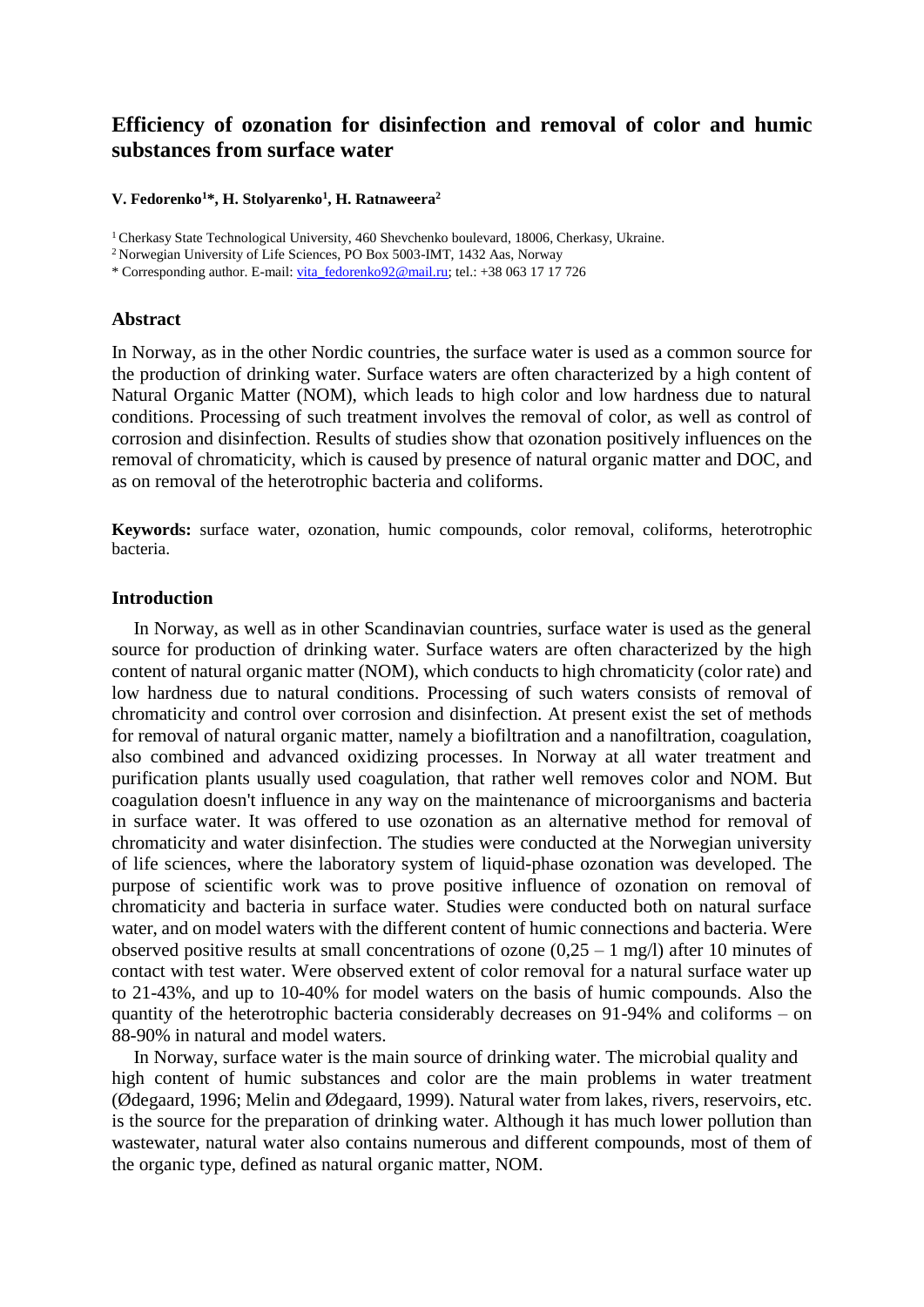# **Efficiency of ozonation for disinfection and removal of color and humic substances from surface water**

### **V. Fedorenko<sup>1</sup>\*, H. Stolyarenko<sup>1</sup> , H. Ratnaweera<sup>2</sup>**

<sup>1</sup>Cherkasy State Technological University, 460 Shevchenko boulevard, 18006, Cherkasy, Ukraine.

\* Corresponding author. E-mail: [vita\\_fedorenko92@mail.ru;](mailto:vita_fedorenko92@mail.ru) tel.: +38 063 17 17 726

# **Abstract**

In Norway, as in the other Nordic countries, the surface water is used as a common source for the production of drinking water. Surface waters are often characterized by a high content of Natural Organic Matter (NOM), which leads to high color and low hardness due to natural conditions. Processing of such treatment involves the removal of color, as well as control of corrosion and disinfection. Results of studies show that ozonation positively influences on the removal of chromaticity, which is caused by presence of natural organic matter and DOC, and as on removal of the heterotrophic bacteria and coliforms.

**Keywords:** surface water, ozonation, humic compounds, color removal, coliforms, heterotrophic bacteria.

# **Introduction**

In Norway, as well as in other Scandinavian countries, surface water is used as the general source for production of drinking water. Surface waters are often characterized by the high content of natural organic matter (NOM), which conducts to high chromaticity (color rate) and low hardness due to natural conditions. Processing of such waters consists of removal of chromaticity and control over corrosion and disinfection. At present exist the set of methods for removal of natural organic matter, namely a biofiltration and a nanofiltration, coagulation, also combined and advanced oxidizing processes. In Norway at all water treatment and purification plants usually used coagulation, that rather well removes color and NOM. But coagulation doesn't influence in any way on the maintenance of microorganisms and bacteria in surface water. It was offered to use ozonation as an alternative method for removal of chromaticity and water disinfection. The studies were conducted at the Norwegian university of life sciences, where the laboratory system of liquid-phase ozonation was developed. The purpose of scientific work was to prove positive influence of ozonation on removal of chromaticity and bacteria in surface water. Studies were conducted both on natural surface water, and on model waters with the different content of humic connections and bacteria. Were observed positive results at small concentrations of ozone  $(0.25 - 1 \text{ mg/l})$  after 10 minutes of contact with test water. Were observed extent of color removal for a natural surface water up to 21-43%, and up to 10-40% for model waters on the basis of humic compounds. Also the quantity of the heterotrophic bacteria considerably decreases on 91-94% and coliforms – on 88-90% in natural and model waters.

In Norway, surface water is the main source of drinking water. The microbial quality and high content of humic substances and color are the main problems in water treatment (Ødegaard, 1996; Melin and Ødegaard, 1999). Natural water from lakes, rivers, reservoirs, etc. is the source for the preparation of drinking water. Although it has much lower pollution than wastewater, natural water also contains numerous and different compounds, most of them of the organic type, defined as natural organic matter, NOM.

<sup>&</sup>lt;sup>2</sup> Norwegian University of Life Sciences, PO Box 5003-IMT, 1432 Aas, Norway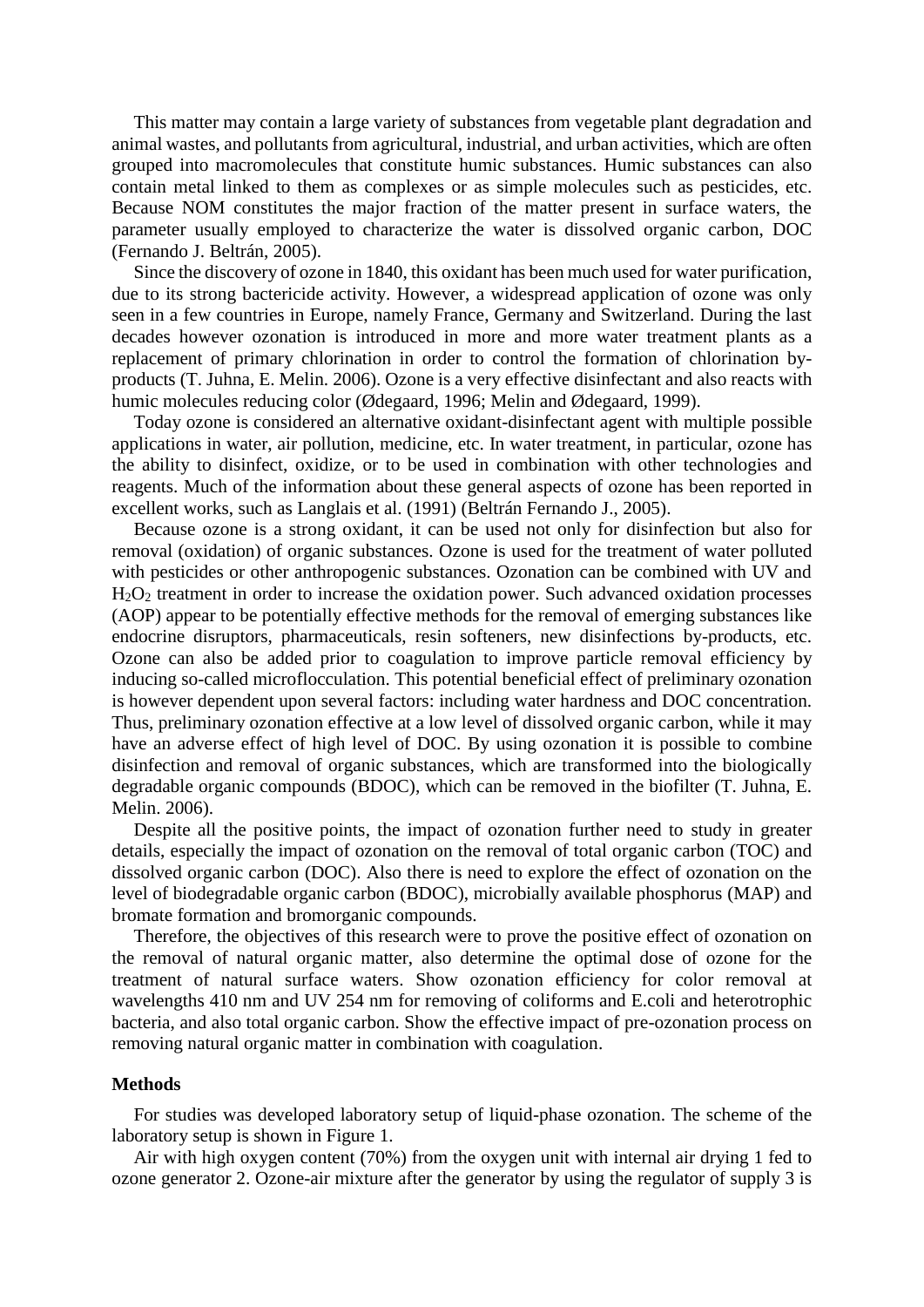This matter may contain a large variety of substances from vegetable plant degradation and animal wastes, and pollutants from agricultural, industrial, and urban activities, which are often grouped into macromolecules that constitute humic substances. Humic substances can also contain metal linked to them as complexes or as simple molecules such as pesticides, etc. Because NOM constitutes the major fraction of the matter present in surface waters, the parameter usually employed to characterize the water is dissolved organic carbon, DOC (Fernando J. Beltrán, 2005).

Since the discovery of ozone in 1840, this oxidant has been much used for water purification, due to its strong bactericide activity. However, a widespread application of ozone was only seen in a few countries in Europe, namely France, Germany and Switzerland. During the last decades however ozonation is introduced in more and more water treatment plants as a replacement of primary chlorination in order to control the formation of chlorination byproducts (T. Juhna, E. Melin. 2006). Ozone is a very effective disinfectant and also reacts with humic molecules reducing color (Ødegaard, 1996; Melin and Ødegaard, 1999).

Today ozone is considered an alternative oxidant-disinfectant agent with multiple possible applications in water, air pollution, medicine, etc. In water treatment, in particular, ozone has the ability to disinfect, oxidize, or to be used in combination with other technologies and reagents. Much of the information about these general aspects of ozone has been reported in excellent works, such as Langlais et al. (1991) (Beltrán Fernando J., 2005).

Because ozone is a strong oxidant, it can be used not only for disinfection but also for removal (oxidation) of organic substances. Ozone is used for the treatment of water polluted with pesticides or other anthropogenic substances. Ozonation can be combined with UV and H2O<sup>2</sup> treatment in order to increase the oxidation power. Such advanced oxidation processes (AOP) appear to be potentially effective methods for the removal of emerging substances like endocrine disruptors, pharmaceuticals, resin softeners, new disinfections by-products, etc. Ozone can also be added prior to coagulation to improve particle removal efficiency by inducing so-called microflocculation. This potential beneficial effect of preliminary ozonation is however dependent upon several factors: including water hardness and DOC concentration. Thus, preliminary ozonation effective at a low level of dissolved organic carbon, while it may have an adverse effect of high level of DOC. By using ozonation it is possible to combine disinfection and removal of organic substances, which are transformed into the biologically degradable organic compounds (BDOC), which can be removed in the biofilter (T. Juhna, E. Melin. 2006).

Despite all the positive points, the impact of ozonation further need to study in greater details, especially the impact of ozonation on the removal of total organic carbon (TOC) and dissolved organic carbon (DOC). Also there is need to explore the effect of ozonation on the level of biodegradable organic carbon (BDOC), microbially available phosphorus (MAP) and bromate formation and bromorganic compounds.

Therefore, the objectives of this research were to prove the positive effect of ozonation on the removal of natural organic matter, also determine the optimal dose of ozone for the treatment of natural surface waters. Show ozonation efficiency for color removal at wavelengths 410 nm and UV 254 nm for removing of coliforms and E.coli and heterotrophic bacteria, and also total organic carbon. Show the effective impact of pre-ozonation process on removing natural organic matter in combination with coagulation.

#### **Methods**

For studies was developed laboratory setup of liquid-phase ozonation. The scheme of the laboratory setup is shown in Figure 1.

Air with high oxygen content (70%) from the oxygen unit with internal air drying 1 fed to ozone generator 2. Ozone-air mixture after the generator by using the regulator of supply 3 is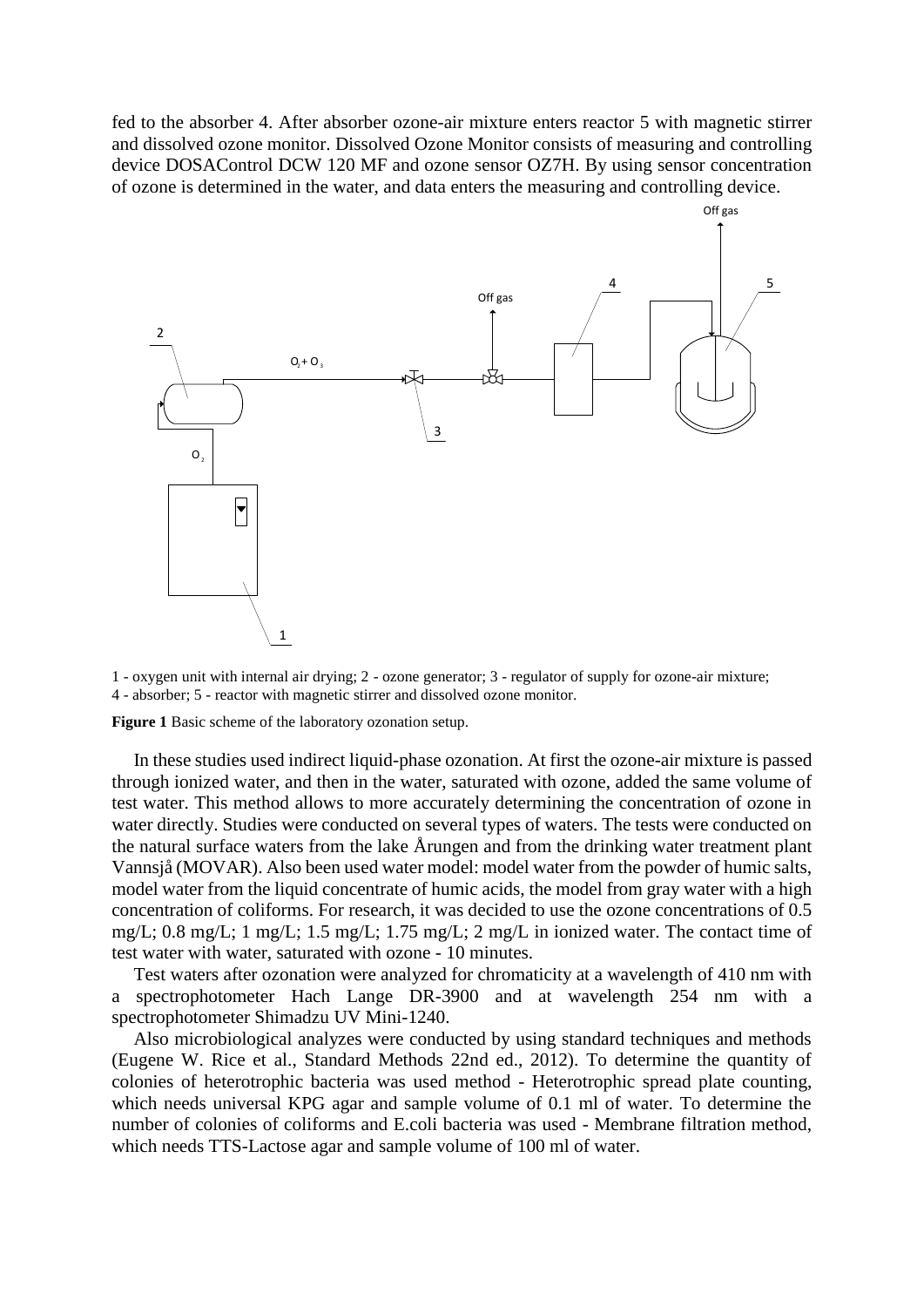fed to the absorber 4. After absorber ozone-air mixture enters reactor 5 with magnetic stirrer and dissolved ozone monitor. Dissolved Ozone Monitor consists of measuring and controlling device DOSAControl DCW 120 MF and ozone sensor OZ7H. By using sensor concentration of ozone is determined in the water, and data enters the measuring and controlling device.



1 - oxygen unit with internal air drying; 2 - ozone generator; 3 - regulator of supply for ozone-air mixture; 4 - absorber; 5 - reactor with magnetic stirrer and dissolved ozone monitor.

**Figure 1** Basic scheme of the laboratory ozonation setup.

In these studies used indirect liquid-phase ozonation. At first the ozone-air mixture is passed through ionized water, and then in the water, saturated with ozone, added the same volume of test water. This method allows to more accurately determining the concentration of ozone in water directly. Studies were conducted on several types of waters. The tests were conducted on the natural surface waters from the lake Årungen and from the drinking water treatment plant Vannsjå (MOVAR). Also been used water model: model water from the powder of humic salts, model water from the liquid concentrate of humic acids, the model from gray water with a high concentration of coliforms. For research, it was decided to use the ozone concentrations of 0.5 mg/L; 0.8 mg/L; 1 mg/L; 1.5 mg/L; 1.75 mg/L; 2 mg/L in ionized water. The contact time of test water with water, saturated with ozone - 10 minutes.

Test waters after ozonation were analyzed for chromaticity at a wavelength of 410 nm with a spectrophotometer Hach Lange DR-3900 and at wavelength 254 nm with a spectrophotometer Shimadzu UV Mini-1240.

Also microbiological analyzes were conducted by using standard techniques and methods (Eugene W. Rice et al., Standard Methods 22nd ed., 2012). To determine the quantity of colonies of heterotrophic bacteria was used method - Heterotrophic spread plate counting, which needs universal KPG agar and sample volume of 0.1 ml of water. To determine the number of colonies of coliforms and E.coli bacteria was used - Membrane filtration method, which needs TTS-Lactose agar and sample volume of 100 ml of water.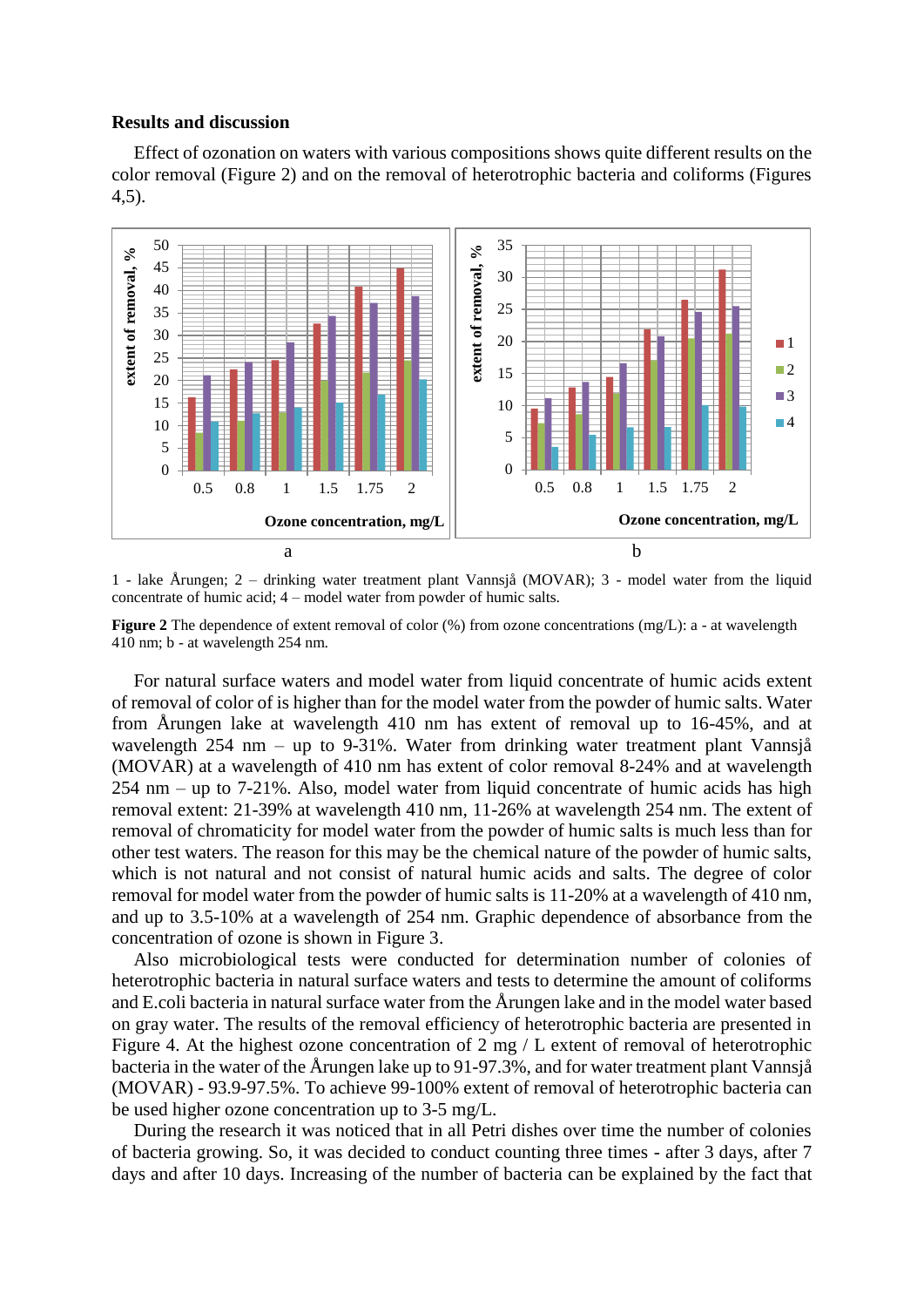# **Results and discussion**

Effect of ozonation on waters with various compositions shows quite different results on the color removal (Figure 2) and on the removal of heterotrophic bacteria and coliforms (Figures 4,5).



1 - lake Årungen; 2 – drinking water treatment plant Vannsjå (MOVAR); 3 - model water from the liquid concentrate of humic acid; 4 – model water from powder of humic salts.

**Figure 2** The dependence of extent removal of color (%) from ozone concentrations (mg/L): a - at wavelength 410 nm; b - at wavelength 254 nm.

For natural surface waters and model water from liquid concentrate of humic acids extent of removal of color of is higher than for the model water from the powder of humic salts. Water from Årungen lake at wavelength 410 nm has extent of removal up to 16-45%, and at wavelength 254 nm – up to 9-31%. Water from drinking water treatment plant Vannsjå (MOVAR) at a wavelength of 410 nm has extent of color removal 8-24% and at wavelength 254 nm – up to 7-21%. Also, model water from liquid concentrate of humic acids has high removal extent: 21-39% at wavelength 410 nm, 11-26% at wavelength 254 nm. The extent of removal of chromaticity for model water from the powder of humic salts is much less than for other test waters. The reason for this may be the chemical nature of the powder of humic salts, which is not natural and not consist of natural humic acids and salts. The degree of color removal for model water from the powder of humic salts is 11-20% at a wavelength of 410 nm, and up to 3.5-10% at a wavelength of 254 nm. Graphic dependence of absorbance from the concentration of ozone is shown in Figure 3.

Also microbiological tests were conducted for determination number of colonies of heterotrophic bacteria in natural surface waters and tests to determine the amount of coliforms and E.coli bacteria in natural surface water from the Årungen lake and in the model water based on gray water. The results of the removal efficiency of heterotrophic bacteria are presented in Figure 4. At the highest ozone concentration of 2 mg / L extent of removal of heterotrophic bacteria in the water of the Årungen lake up to 91-97.3%, and for water treatment plant Vannsjå (MOVAR) - 93.9-97.5%. To achieve 99-100% extent of removal of heterotrophic bacteria can be used higher ozone concentration up to 3-5 mg/L.

During the research it was noticed that in all Petri dishes over time the number of colonies of bacteria growing. So, it was decided to conduct counting three times - after 3 days, after 7 days and after 10 days. Increasing of the number of bacteria can be explained by the fact that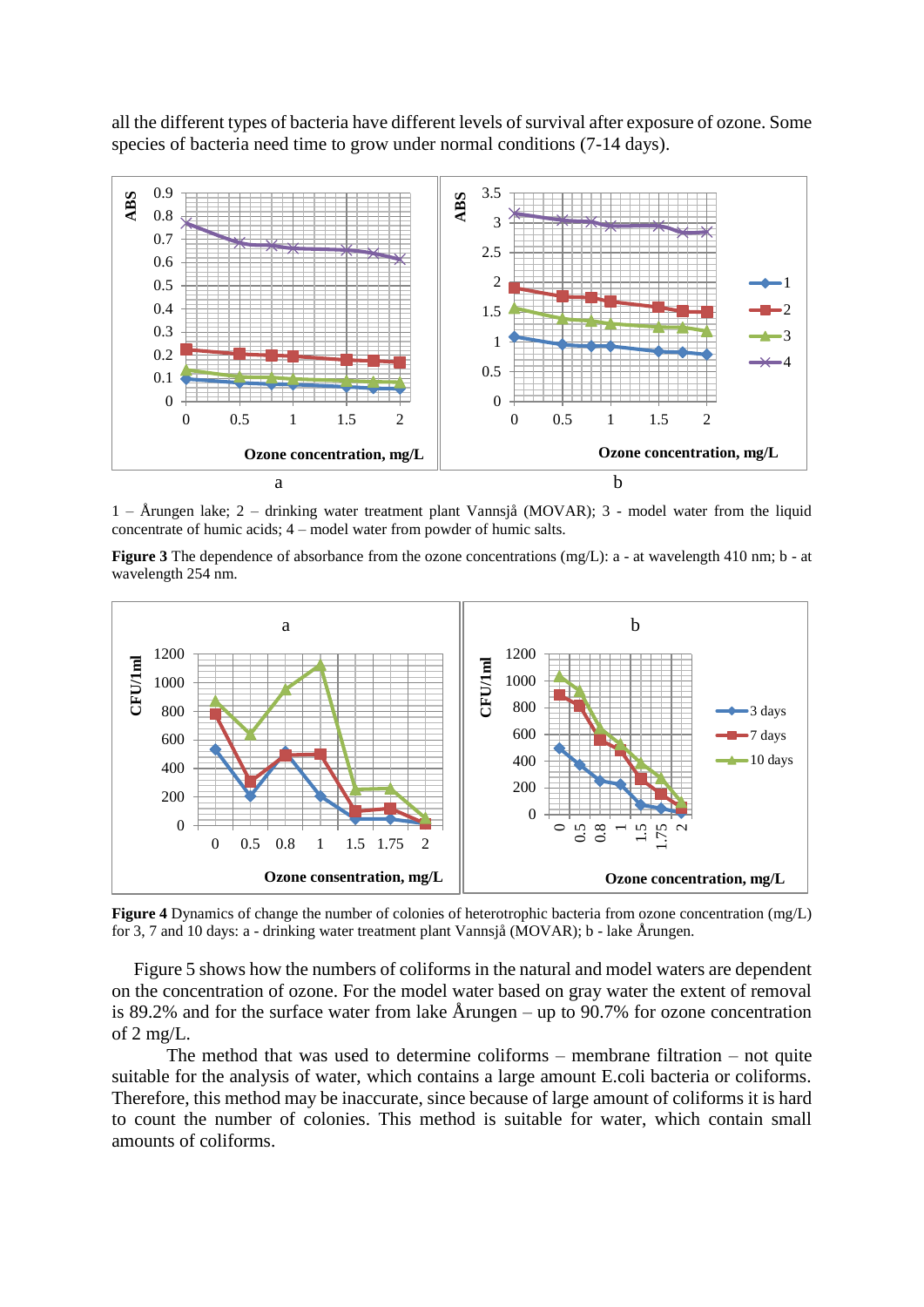all the different types of bacteria have different levels of survival after exposure of ozone. Some species of bacteria need time to grow under normal conditions (7-14 days).



1 – Årungen lake; 2 – drinking water treatment plant Vannsjå (MOVAR); 3 - model water from the liquid concentrate of humic acids; 4 – model water from powder of humic salts.

**Figure 3** The dependence of absorbance from the ozone concentrations (mg/L): a - at wavelength 410 nm; b - at wavelength 254 nm.



**Figure 4** Dynamics of change the number of colonies of heterotrophic bacteria from ozone concentration (mg/L) for 3, 7 and 10 days: a - drinking water treatment plant Vannsjå (MOVAR); b - lake Årungen.

Figure 5 shows how the numbers of coliforms in the natural and model waters are dependent on the concentration of ozone. For the model water based on gray water the extent of removal is 89.2% and for the surface water from lake Årungen – up to 90.7% for ozone concentration of 2 mg/L.

The method that was used to determine coliforms – membrane filtration – not quite suitable for the analysis of water, which contains a large amount E.coli bacteria or coliforms. Therefore, this method may be inaccurate, since because of large amount of coliforms it is hard to count the number of colonies. This method is suitable for water, which contain small amounts of coliforms.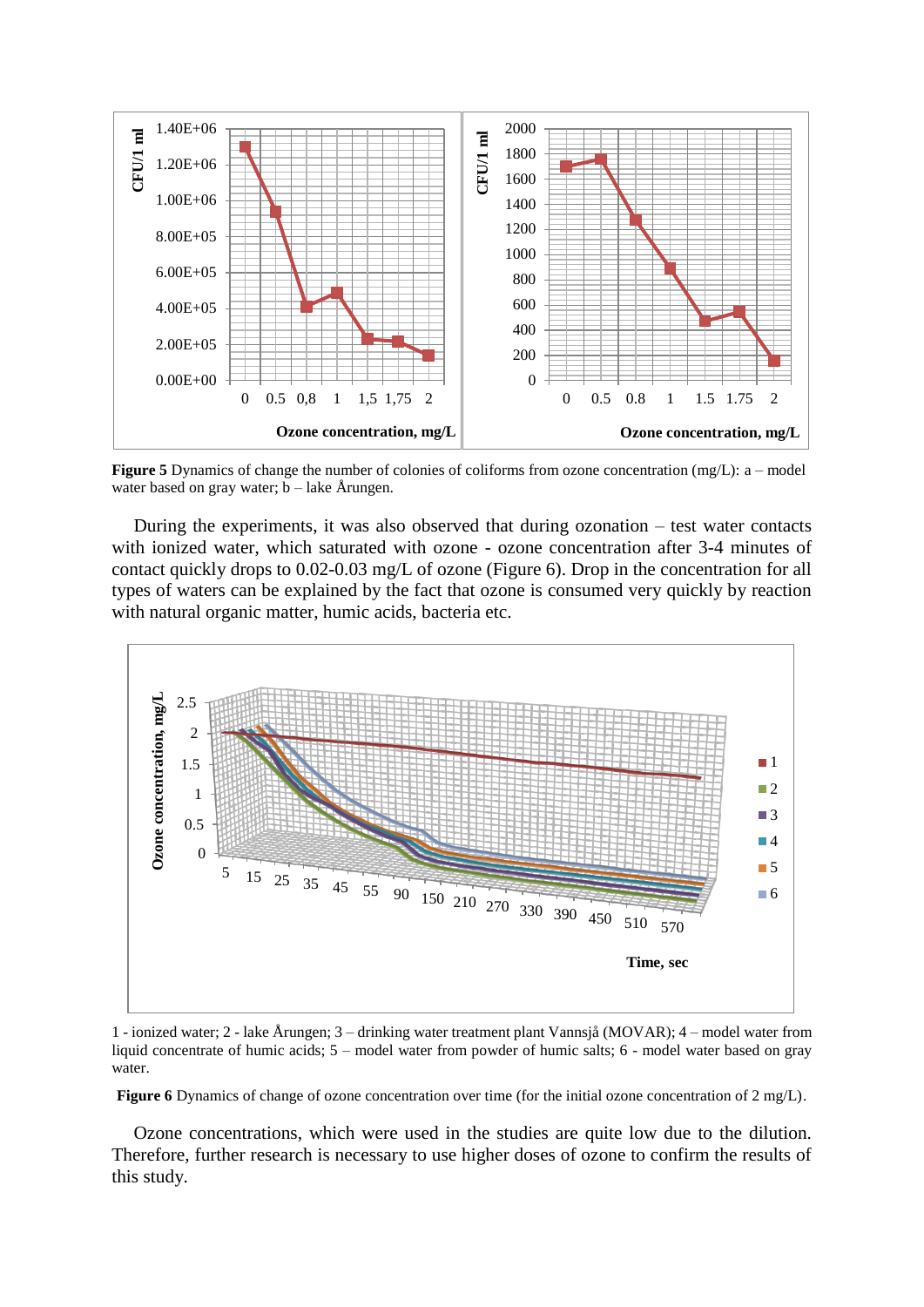

**Figure 5** Dynamics of change the number of colonies of coliforms from ozone concentration (mg/L): a – model water based on gray water;  $b - \text{ lake Årungen.}$ 

During the experiments, it was also observed that during ozonation – test water contacts with ionized water, which saturated with ozone - ozone concentration after 3-4 minutes of contact quickly drops to 0.02-0.03 mg/L of ozone (Figure 6). Drop in the concentration for all types of waters can be explained by the fact that ozone is consumed very quickly by reaction with natural organic matter, humic acids, bacteria etc.



1 - ionized water; 2 - lake Årungen; 3 – drinking water treatment plant Vannsjå (MOVAR); 4 – model water from liquid concentrate of humic acids; 5 – model water from powder of humic salts; 6 - model water based on gray water.

**Figure 6** Dynamics of change of ozone concentration over time (for the initial ozone concentration of 2 mg/L).

Ozone concentrations, which were used in the studies are quite low due to the dilution. Therefore, further research is necessary to use higher doses of ozone to confirm the results of this study.